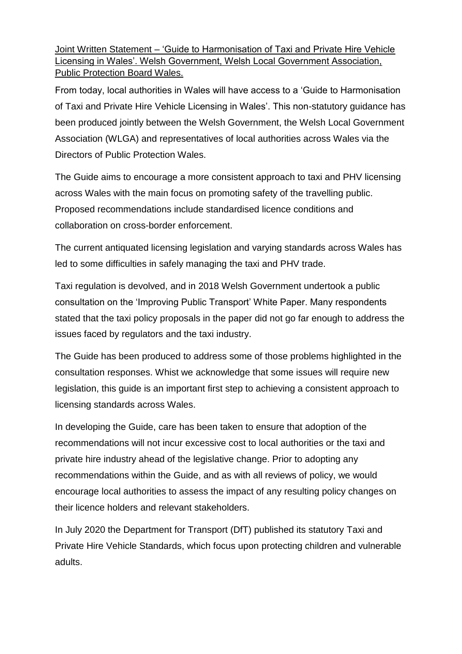Joint Written Statement – 'Guide to Harmonisation of Taxi and Private Hire Vehicle Licensing in Wales'. Welsh Government, Welsh Local Government Association, Public Protection Board Wales.

From today, local authorities in Wales will have access to a 'Guide to Harmonisation of Taxi and Private Hire Vehicle Licensing in Wales'. This non-statutory guidance has been produced jointly between the Welsh Government, the Welsh Local Government Association (WLGA) and representatives of local authorities across Wales via the Directors of Public Protection Wales.

The Guide aims to encourage a more consistent approach to taxi and PHV licensing across Wales with the main focus on promoting safety of the travelling public. Proposed recommendations include standardised licence conditions and collaboration on cross-border enforcement.

The current antiquated licensing legislation and varying standards across Wales has led to some difficulties in safely managing the taxi and PHV trade.

Taxi regulation is devolved, and in 2018 Welsh Government undertook a public consultation on the 'Improving Public Transport' White Paper. Many respondents stated that the taxi policy proposals in the paper did not go far enough to address the issues faced by regulators and the taxi industry.

The Guide has been produced to address some of those problems highlighted in the consultation responses. Whist we acknowledge that some issues will require new legislation, this guide is an important first step to achieving a consistent approach to licensing standards across Wales.

In developing the Guide, care has been taken to ensure that adoption of the recommendations will not incur excessive cost to local authorities or the taxi and private hire industry ahead of the legislative change. Prior to adopting any recommendations within the Guide, and as with all reviews of policy, we would encourage local authorities to assess the impact of any resulting policy changes on their licence holders and relevant stakeholders.

In July 2020 the Department for Transport (DfT) published its statutory Taxi and Private Hire Vehicle Standards, which focus upon protecting children and vulnerable adults.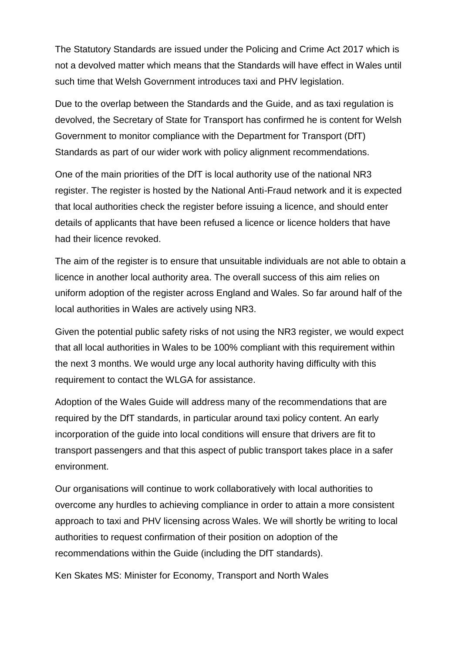The Statutory Standards are issued under the Policing and Crime Act 2017 which is not a devolved matter which means that the Standards will have effect in Wales until such time that Welsh Government introduces taxi and PHV legislation.

Due to the overlap between the Standards and the Guide, and as taxi regulation is devolved, the Secretary of State for Transport has confirmed he is content for Welsh Government to monitor compliance with the Department for Transport (DfT) Standards as part of our wider work with policy alignment recommendations.

One of the main priorities of the DfT is local authority use of the national NR3 register. The register is hosted by the National Anti-Fraud network and it is expected that local authorities check the register before issuing a licence, and should enter details of applicants that have been refused a licence or licence holders that have had their licence revoked.

The aim of the register is to ensure that unsuitable individuals are not able to obtain a licence in another local authority area. The overall success of this aim relies on uniform adoption of the register across England and Wales. So far around half of the local authorities in Wales are actively using NR3.

Given the potential public safety risks of not using the NR3 register, we would expect that all local authorities in Wales to be 100% compliant with this requirement within the next 3 months. We would urge any local authority having difficulty with this requirement to contact the WLGA for assistance.

Adoption of the Wales Guide will address many of the recommendations that are required by the DfT standards, in particular around taxi policy content. An early incorporation of the guide into local conditions will ensure that drivers are fit to transport passengers and that this aspect of public transport takes place in a safer environment.

Our organisations will continue to work collaboratively with local authorities to overcome any hurdles to achieving compliance in order to attain a more consistent approach to taxi and PHV licensing across Wales. We will shortly be writing to local authorities to request confirmation of their position on adoption of the recommendations within the Guide (including the DfT standards).

Ken Skates MS: Minister for Economy, Transport and North Wales